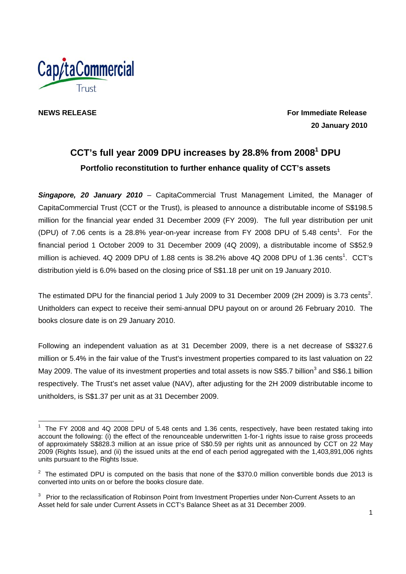

**NEWS RELEASE For Immediate Release 20 January 2010** 

# **CCT's full year 2009 DPU increases by 28.8% from 20081 DPU Portfolio reconstitution to further enhance quality of CCT's assets**

*Singapore, 20 January 2010* – CapitaCommercial Trust Management Limited, the Manager of CapitaCommercial Trust (CCT or the Trust), is pleased to announce a distributable income of S\$198.5 million for the financial year ended 31 December 2009 (FY 2009). The full year distribution per unit (DPU) of 7.06 cents is a 28.8% year-on-year increase from FY 2008 DPU of 5.48 cents<sup>1</sup>. For the financial period 1 October 2009 to 31 December 2009 (4Q 2009), a distributable income of S\$52.9 million is achieved. 4Q 2009 DPU of 1.88 cents is 38.2% above 4Q 2008 DPU of 1.36 cents<sup>1</sup>. CCT's distribution yield is 6.0% based on the closing price of S\$1.18 per unit on 19 January 2010.

The estimated DPU for the financial period 1 July 2009 to 31 December 2009 (2H 2009) is 3.73 cents<sup>2</sup>. Unitholders can expect to receive their semi-annual DPU payout on or around 26 February 2010. The books closure date is on 29 January 2010.

Following an independent valuation as at 31 December 2009, there is a net decrease of S\$327.6 million or 5.4% in the fair value of the Trust's investment properties compared to its last valuation on 22 May 2009. The value of its investment properties and total assets is now S\$5.7 billion<sup>3</sup> and S\$6.1 billion respectively. The Trust's net asset value (NAV), after adjusting for the 2H 2009 distributable income to unitholders, is S\$1.37 per unit as at 31 December 2009.

  $1$  The FY 2008 and 4Q 2008 DPU of 5.48 cents and 1.36 cents, respectively, have been restated taking into account the following: (i) the effect of the renounceable underwritten 1-for-1 rights issue to raise gross proceeds of approximately S\$828.3 million at an issue price of S\$0.59 per rights unit as announced by CCT on 22 May 2009 (Rights Issue), and (ii) the issued units at the end of each period aggregated with the 1,403,891,006 rights units pursuant to the Rights Issue.

<sup>&</sup>lt;sup>2</sup> The estimated DPU is computed on the basis that none of the \$370.0 million convertible bonds due 2013 is converted into units on or before the books closure date.

 $3$  Prior to the reclassification of Robinson Point from Investment Properties under Non-Current Assets to an Asset held for sale under Current Assets in CCT's Balance Sheet as at 31 December 2009.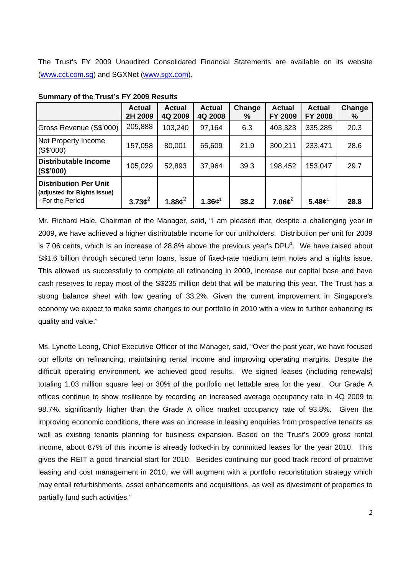The Trust's FY 2009 Unaudited Consolidated Financial Statements are available on its website (www.cct.com.sg) and SGXNet (www.sgx.com).

|                                                                                 | <b>Actual</b><br>2H 2009 | <b>Actual</b><br>4Q 2009 | <b>Actual</b><br>4Q 2008        | Change<br>% | <b>Actual</b><br>FY 2009       | <b>Actual</b><br><b>FY 2008</b> | Change<br>% |
|---------------------------------------------------------------------------------|--------------------------|--------------------------|---------------------------------|-------------|--------------------------------|---------------------------------|-------------|
| Gross Revenue (S\$'000)                                                         | 205,888                  | 103,240                  | 97,164                          | 6.3         | 403,323                        | 335,285                         | 20.3        |
| Net Property Income<br>(S\$'000)                                                | 157,058                  | 80,001                   | 65,609                          | 21.9        | 300,211                        | 233,471                         | 28.6        |
| Distributable Income<br>(S\$'000)                                               | 105,029                  | 52,893                   | 37,964                          | 39.3        | 198,452                        | 153,047                         | 29.7        |
| <b>Distribution Per Unit</b><br>(adjusted for Rights Issue)<br>- For the Period | $3.73\phi^2$             | 1.88 $c^2$               | 1.36 ${\boldsymbol \epsilon}^1$ | 38.2        | 7.06 $\boldsymbol{\epsilon}^2$ | 5.48c <sup>1</sup>              | 28.8        |

**Summary of the Trust's FY 2009 Results** 

Mr. Richard Hale, Chairman of the Manager, said, "I am pleased that, despite a challenging year in 2009, we have achieved a higher distributable income for our unitholders. Distribution per unit for 2009 is 7.06 cents, which is an increase of 28.8% above the previous year's DPU<sup>1</sup>. We have raised about S\$1.6 billion through secured term loans, issue of fixed-rate medium term notes and a rights issue. This allowed us successfully to complete all refinancing in 2009, increase our capital base and have cash reserves to repay most of the S\$235 million debt that will be maturing this year. The Trust has a strong balance sheet with low gearing of 33.2%. Given the current improvement in Singapore's economy we expect to make some changes to our portfolio in 2010 with a view to further enhancing its quality and value."

Ms. Lynette Leong, Chief Executive Officer of the Manager, said, "Over the past year, we have focused our efforts on refinancing, maintaining rental income and improving operating margins. Despite the difficult operating environment, we achieved good results. We signed leases (including renewals) totaling 1.03 million square feet or 30% of the portfolio net lettable area for the year. Our Grade A offices continue to show resilience by recording an increased average occupancy rate in 4Q 2009 to 98.7%, significantly higher than the Grade A office market occupancy rate of 93.8%. Given the improving economic conditions, there was an increase in leasing enquiries from prospective tenants as well as existing tenants planning for business expansion. Based on the Trust's 2009 gross rental income, about 87% of this income is already locked-in by committed leases for the year 2010. This gives the REIT a good financial start for 2010. Besides continuing our good track record of proactive leasing and cost management in 2010, we will augment with a portfolio reconstitution strategy which may entail refurbishments, asset enhancements and acquisitions, as well as divestment of properties to partially fund such activities."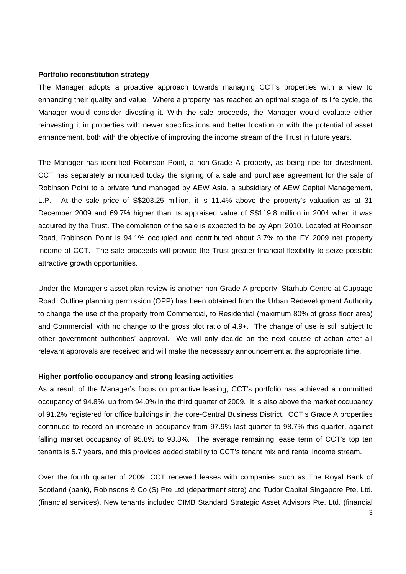#### **Portfolio reconstitution strategy**

The Manager adopts a proactive approach towards managing CCT's properties with a view to enhancing their quality and value. Where a property has reached an optimal stage of its life cycle, the Manager would consider divesting it. With the sale proceeds, the Manager would evaluate either reinvesting it in properties with newer specifications and better location or with the potential of asset enhancement, both with the objective of improving the income stream of the Trust in future years.

The Manager has identified Robinson Point, a non-Grade A property, as being ripe for divestment. CCT has separately announced today the signing of a sale and purchase agreement for the sale of Robinson Point to a private fund managed by AEW Asia, a subsidiary of AEW Capital Management, L.P.. At the sale price of S\$203.25 million, it is 11.4% above the property's valuation as at 31 December 2009 and 69.7% higher than its appraised value of S\$119.8 million in 2004 when it was acquired by the Trust. The completion of the sale is expected to be by April 2010. Located at Robinson Road, Robinson Point is 94.1% occupied and contributed about 3.7% to the FY 2009 net property income of CCT. The sale proceeds will provide the Trust greater financial flexibility to seize possible attractive growth opportunities.

Under the Manager's asset plan review is another non-Grade A property, Starhub Centre at Cuppage Road. Outline planning permission (OPP) has been obtained from the Urban Redevelopment Authority to change the use of the property from Commercial, to Residential (maximum 80% of gross floor area) and Commercial, with no change to the gross plot ratio of 4.9+. The change of use is still subject to other government authorities' approval. We will only decide on the next course of action after all relevant approvals are received and will make the necessary announcement at the appropriate time.

### **Higher portfolio occupancy and strong leasing activities**

As a result of the Manager's focus on proactive leasing, CCT's portfolio has achieved a committed occupancy of 94.8%, up from 94.0% in the third quarter of 2009. It is also above the market occupancy of 91.2% registered for office buildings in the core-Central Business District. CCT's Grade A properties continued to record an increase in occupancy from 97.9% last quarter to 98.7% this quarter, against falling market occupancy of 95.8% to 93.8%. The average remaining lease term of CCT's top ten tenants is 5.7 years, and this provides added stability to CCT's tenant mix and rental income stream.

Over the fourth quarter of 2009, CCT renewed leases with companies such as The Royal Bank of Scotland (bank), Robinsons & Co (S) Pte Ltd (department store) and Tudor Capital Singapore Pte. Ltd. (financial services). New tenants included CIMB Standard Strategic Asset Advisors Pte. Ltd. (financial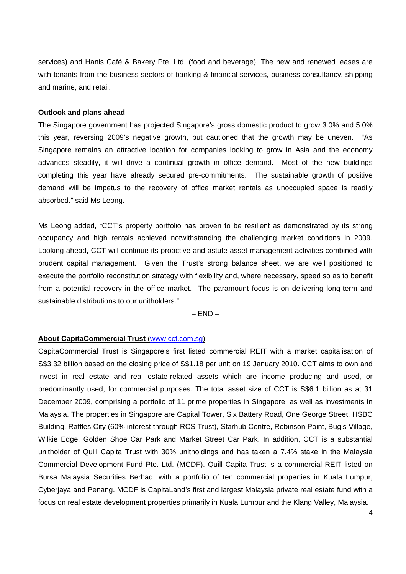services) and Hanis Café & Bakery Pte. Ltd. (food and beverage). The new and renewed leases are with tenants from the business sectors of banking & financial services, business consultancy, shipping and marine, and retail.

#### **Outlook and plans ahead**

The Singapore government has projected Singapore's gross domestic product to grow 3.0% and 5.0% this year, reversing 2009's negative growth, but cautioned that the growth may be uneven. "As Singapore remains an attractive location for companies looking to grow in Asia and the economy advances steadily, it will drive a continual growth in office demand. Most of the new buildings completing this year have already secured pre-commitments. The sustainable growth of positive demand will be impetus to the recovery of office market rentals as unoccupied space is readily absorbed." said Ms Leong.

Ms Leong added, "CCT's property portfolio has proven to be resilient as demonstrated by its strong occupancy and high rentals achieved notwithstanding the challenging market conditions in 2009. Looking ahead, CCT will continue its proactive and astute asset management activities combined with prudent capital management. Given the Trust's strong balance sheet, we are well positioned to execute the portfolio reconstitution strategy with flexibility and, where necessary, speed so as to benefit from a potential recovery in the office market. The paramount focus is on delivering long-term and sustainable distributions to our unitholders."

 $-$  END  $-$ 

## **About CapitaCommercial Trust** (www.cct.com.sg)

CapitaCommercial Trust is Singapore's first listed commercial REIT with a market capitalisation of S\$3.32 billion based on the closing price of S\$1.18 per unit on 19 January 2010. CCT aims to own and invest in real estate and real estate-related assets which are income producing and used, or predominantly used, for commercial purposes. The total asset size of CCT is S\$6.1 billion as at 31 December 2009, comprising a portfolio of 11 prime properties in Singapore, as well as investments in Malaysia. The properties in Singapore are Capital Tower, Six Battery Road, One George Street, HSBC Building, Raffles City (60% interest through RCS Trust), Starhub Centre, Robinson Point, Bugis Village, Wilkie Edge, Golden Shoe Car Park and Market Street Car Park. In addition, CCT is a substantial unitholder of Quill Capita Trust with 30% unitholdings and has taken a 7.4% stake in the Malaysia Commercial Development Fund Pte. Ltd. (MCDF). Quill Capita Trust is a commercial REIT listed on Bursa Malaysia Securities Berhad, with a portfolio of ten commercial properties in Kuala Lumpur, Cyberjaya and Penang. MCDF is CapitaLand's first and largest Malaysia private real estate fund with a focus on real estate development properties primarily in Kuala Lumpur and the Klang Valley, Malaysia.

4